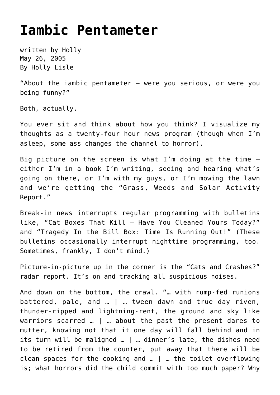## **[Iambic Pentameter](https://hollylisle.com/iambic-pentameter/)**

written by Holly May 26, 2005 [By Holly Lisle](https://hollylisle.com)

"[About the iambic pentameter](https://hollylisle.com/writingdiary/article.php?story=20050525102031105) — were you serious, or were you being funny?"

Both, actually.

You ever sit and think about how you think? I visualize my thoughts as a twenty-four hour news program (though when I'm asleep, some ass changes the channel to horror).

Big picture on the screen is what I'm doing at the time either I'm in a book I'm writing, seeing and hearing what's going on there, or I'm with my guys, or I'm mowing the lawn and we're getting the "Grass, Weeds and Solar Activity Report."

Break-in news interrupts regular programming with bulletins like, "Cat Boxes That Kill — Have You Cleaned Yours Today?" and "Tragedy In the Bill Box: Time Is Running Out!" (These bulletins occasionally interrupt nighttime programming, too. Sometimes, frankly, I don't mind.)

Picture-in-picture up in the corner is the "Cats and Crashes?" radar report. It's on and tracking all suspicious noises.

And down on the bottom, the crawl. "… with rump-fed runions battered, pale, and … | … tween dawn and true day riven, thunder-ripped and lightning-rent, the ground and sky like warriors scarred … | … about the past the present dares to mutter, knowing not that it one day will fall behind and in its turn will be maligned … | … dinner's late, the dishes need to be retired from the counter, put away that there will be clean spaces for the cooking and … | … the toilet overflowing is; what horrors did the child commit with too much paper? Why